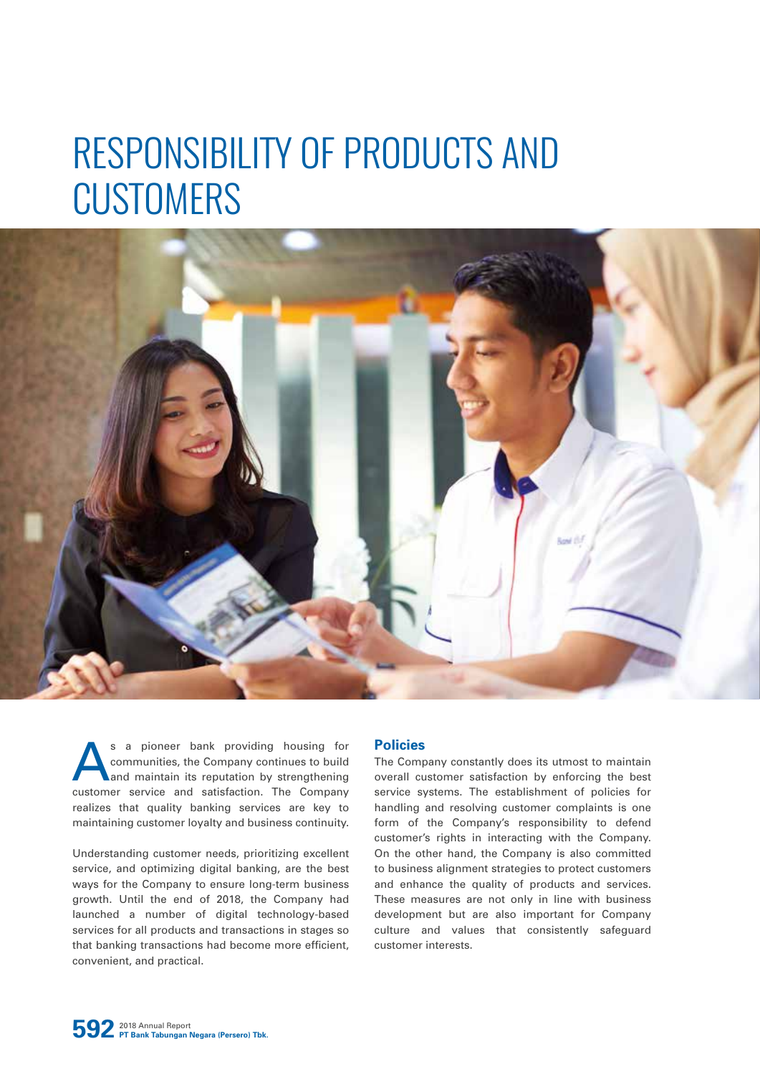# RESPONSIBILITY OF PRODUCTS AND **CUSTOMERS**



s a pioneer bank providing housing for<br>communities, the Company continues to build<br>and maintain its reputation by strengthening<br>surfaces continue and orticitation. The Company communities, the Company continues to build and maintain its reputation by strengthening customer service and satisfaction. The Company realizes that quality banking services are key to maintaining customer loyalty and business continuity.

Understanding customer needs, prioritizing excellent service, and optimizing digital banking, are the best ways for the Company to ensure long-term business growth. Until the end of 2018, the Company had launched a number of digital technology-based services for all products and transactions in stages so that banking transactions had become more efficient, convenient, and practical.

### **Policies**

The Company constantly does its utmost to maintain overall customer satisfaction by enforcing the best service systems. The establishment of policies for handling and resolving customer complaints is one form of the Company's responsibility to defend customer's rights in interacting with the Company. On the other hand, the Company is also committed to business alignment strategies to protect customers and enhance the quality of products and services. These measures are not only in line with business development but are also important for Company culture and values that consistently safeguard customer interests.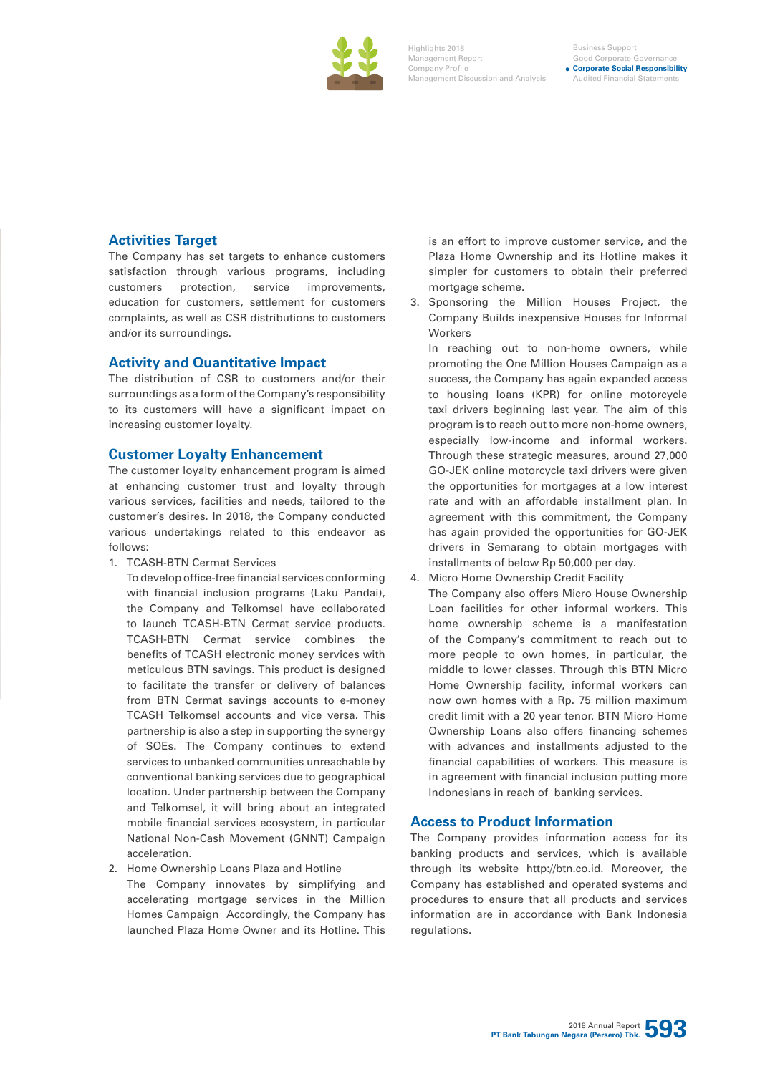

#### Business Support Good Corporate Governan **Corporate Social Responsibility** Audited Financial Statements

# **Activities Target**

The Company has set targets to enhance customers satisfaction through various programs, including customers protection, service improvements, education for customers, settlement for customers complaints, as well as CSR distributions to customers and/or its surroundings.

# **Activity and Quantitative Impact**

The distribution of CSR to customers and/or their surroundings as a form of the Company's responsibility to its customers will have a significant impact on increasing customer loyalty.

# **Customer Loyalty Enhancement**

The customer loyalty enhancement program is aimed at enhancing customer trust and loyalty through various services, facilities and needs, tailored to the customer's desires. In 2018, the Company conducted various undertakings related to this endeavor as follows:

1. TCASH-BTN Cermat Services

To develop office-free financial services conforming with financial inclusion programs (Laku Pandai), the Company and Telkomsel have collaborated to launch TCASH-BTN Cermat service products. TCASH-BTN Cermat service combines the benefits of TCASH electronic money services with meticulous BTN savings. This product is designed to facilitate the transfer or delivery of balances from BTN Cermat savings accounts to e-money TCASH Telkomsel accounts and vice versa. This partnership is also a step in supporting the synergy of SOEs. The Company continues to extend services to unbanked communities unreachable by conventional banking services due to geographical location. Under partnership between the Company and Telkomsel, it will bring about an integrated mobile financial services ecosystem, in particular National Non-Cash Movement (GNNT) Campaign acceleration.

2. Home Ownership Loans Plaza and Hotline

The Company innovates by simplifying and accelerating mortgage services in the Million Homes Campaign Accordingly, the Company has launched Plaza Home Owner and its Hotline. This

is an effort to improve customer service, and the Plaza Home Ownership and its Hotline makes it simpler for customers to obtain their preferred mortgage scheme.

3. Sponsoring the Million Houses Project, the Company Builds inexpensive Houses for Informal **Workers** 

In reaching out to non-home owners, while promoting the One Million Houses Campaign as a success, the Company has again expanded access to housing loans (KPR) for online motorcycle taxi drivers beginning last year. The aim of this program is to reach out to more non-home owners, especially low-income and informal workers. Through these strategic measures, around 27,000 GO-JEK online motorcycle taxi drivers were given the opportunities for mortgages at a low interest rate and with an affordable installment plan. In agreement with this commitment, the Company has again provided the opportunities for GO-JEK drivers in Semarang to obtain mortgages with installments of below Rp 50,000 per day.

4. Micro Home Ownership Credit Facility

The Company also offers Micro House Ownership Loan facilities for other informal workers. This home ownership scheme is a manifestation of the Company's commitment to reach out to more people to own homes, in particular, the middle to lower classes. Through this BTN Micro Home Ownership facility, informal workers can now own homes with a Rp. 75 million maximum credit limit with a 20 year tenor. BTN Micro Home Ownership Loans also offers financing schemes with advances and installments adjusted to the financial capabilities of workers. This measure is in agreement with financial inclusion putting more Indonesians in reach of banking services.

# **Access to Product Information**

The Company provides information access for its banking products and services, which is available through its website http://btn.co.id. Moreover, the Company has established and operated systems and procedures to ensure that all products and services information are in accordance with Bank Indonesia regulations.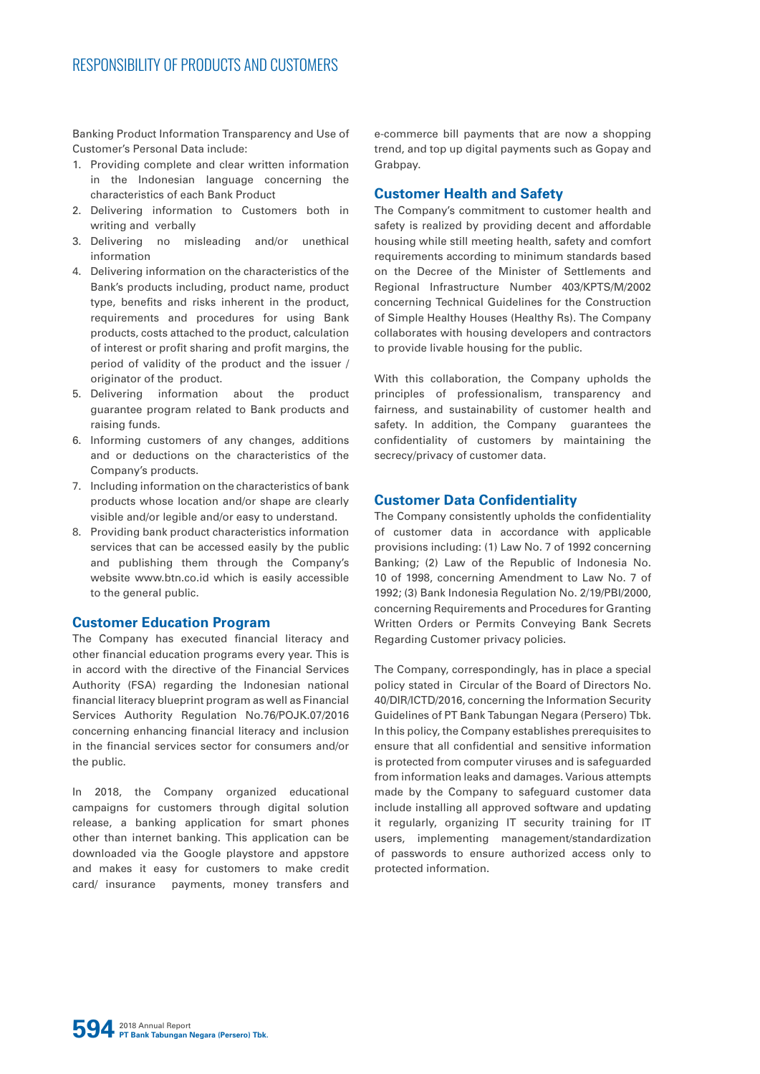Banking Product Information Transparency and Use of Customer's Personal Data include:

- 1. Providing complete and clear written information in the Indonesian language concerning the characteristics of each Bank Product
- 2. Delivering information to Customers both in writing and verbally
- 3. Delivering no misleading and/or unethical information
- 4. Delivering information on the characteristics of the Bank's products including, product name, product type, benefits and risks inherent in the product, requirements and procedures for using Bank products, costs attached to the product, calculation of interest or profit sharing and profit margins, the period of validity of the product and the issuer / originator of the product.
- 5. Delivering information about the product guarantee program related to Bank products and raising funds.
- 6. Informing customers of any changes, additions and or deductions on the characteristics of the Company's products.
- 7. Including information on the characteristics of bank products whose location and/or shape are clearly visible and/or legible and/or easy to understand.
- 8. Providing bank product characteristics information services that can be accessed easily by the public and publishing them through the Company's website www.btn.co.id which is easily accessible to the general public.

#### **Customer Education Program**

The Company has executed financial literacy and other financial education programs every year. This is in accord with the directive of the Financial Services Authority (FSA) regarding the Indonesian national financial literacy blueprint program as well as Financial Services Authority Regulation No.76/POJK.07/2016 concerning enhancing financial literacy and inclusion in the financial services sector for consumers and/or the public.

In 2018, the Company organized educational campaigns for customers through digital solution release, a banking application for smart phones other than internet banking. This application can be downloaded via the Google playstore and appstore and makes it easy for customers to make credit card/ insurance payments, money transfers and

e-commerce bill payments that are now a shopping trend, and top up digital payments such as Gopay and Grabpay.

#### **Customer Health and Safety**

The Company's commitment to customer health and safety is realized by providing decent and affordable housing while still meeting health, safety and comfort requirements according to minimum standards based on the Decree of the Minister of Settlements and Regional Infrastructure Number 403/KPTS/M/2002 concerning Technical Guidelines for the Construction of Simple Healthy Houses (Healthy Rs). The Company collaborates with housing developers and contractors to provide livable housing for the public.

With this collaboration, the Company upholds the principles of professionalism, transparency and fairness, and sustainability of customer health and safety. In addition, the Company guarantees the confidentiality of customers by maintaining the secrecy/privacy of customer data.

#### **Customer Data Confidentiality**

The Company consistently upholds the confidentiality of customer data in accordance with applicable provisions including: (1) Law No. 7 of 1992 concerning Banking; (2) Law of the Republic of Indonesia No. 10 of 1998, concerning Amendment to Law No. 7 of 1992; (3) Bank Indonesia Regulation No. 2/19/PBI/2000, concerning Requirements and Procedures for Granting Written Orders or Permits Conveying Bank Secrets Regarding Customer privacy policies.

The Company, correspondingly, has in place a special policy stated in Circular of the Board of Directors No. 40/DIR/ICTD/2016, concerning the Information Security Guidelines of PT Bank Tabungan Negara (Persero) Tbk. In this policy, the Company establishes prerequisites to ensure that all confidential and sensitive information is protected from computer viruses and is safeguarded from information leaks and damages. Various attempts made by the Company to safeguard customer data include installing all approved software and updating it regularly, organizing IT security training for IT users, implementing management/standardization of passwords to ensure authorized access only to protected information.

**594** 2018 Annual Report **PT Bank Tabungan Negara (Persero) Tbk.**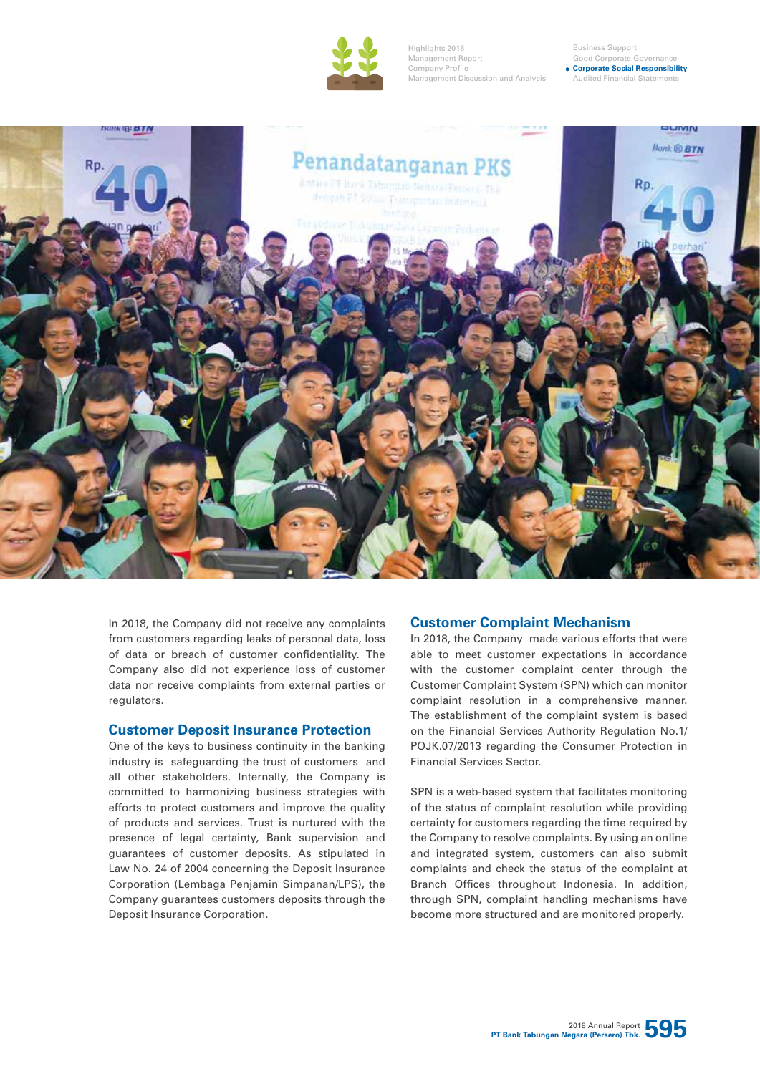

Highlights 2018 Management Report Company Profile Management Discussion and Analysis

Business Support Good Corporate Governan **Corporate Social Responsibility** Audited Financial Statements



In 2018, the Company did not receive any complaints from customers regarding leaks of personal data, loss of data or breach of customer confidentiality. The Company also did not experience loss of customer data nor receive complaints from external parties or regulators.

# **Customer Deposit Insurance Protection**

One of the keys to business continuity in the banking industry is safeguarding the trust of customers and all other stakeholders. Internally, the Company is committed to harmonizing business strategies with efforts to protect customers and improve the quality of products and services. Trust is nurtured with the presence of legal certainty, Bank supervision and guarantees of customer deposits. As stipulated in Law No. 24 of 2004 concerning the Deposit Insurance Corporation (Lembaga Penjamin Simpanan/LPS), the Company guarantees customers deposits through the Deposit Insurance Corporation.

#### **Customer Complaint Mechanism**

In 2018, the Company made various efforts that were able to meet customer expectations in accordance with the customer complaint center through the Customer Complaint System (SPN) which can monitor complaint resolution in a comprehensive manner. The establishment of the complaint system is based on the Financial Services Authority Regulation No.1/ POJK.07/2013 regarding the Consumer Protection in Financial Services Sector.

SPN is a web-based system that facilitates monitoring of the status of complaint resolution while providing certainty for customers regarding the time required by the Company to resolve complaints. By using an online and integrated system, customers can also submit complaints and check the status of the complaint at Branch Offices throughout Indonesia. In addition, through SPN, complaint handling mechanisms have become more structured and are monitored properly.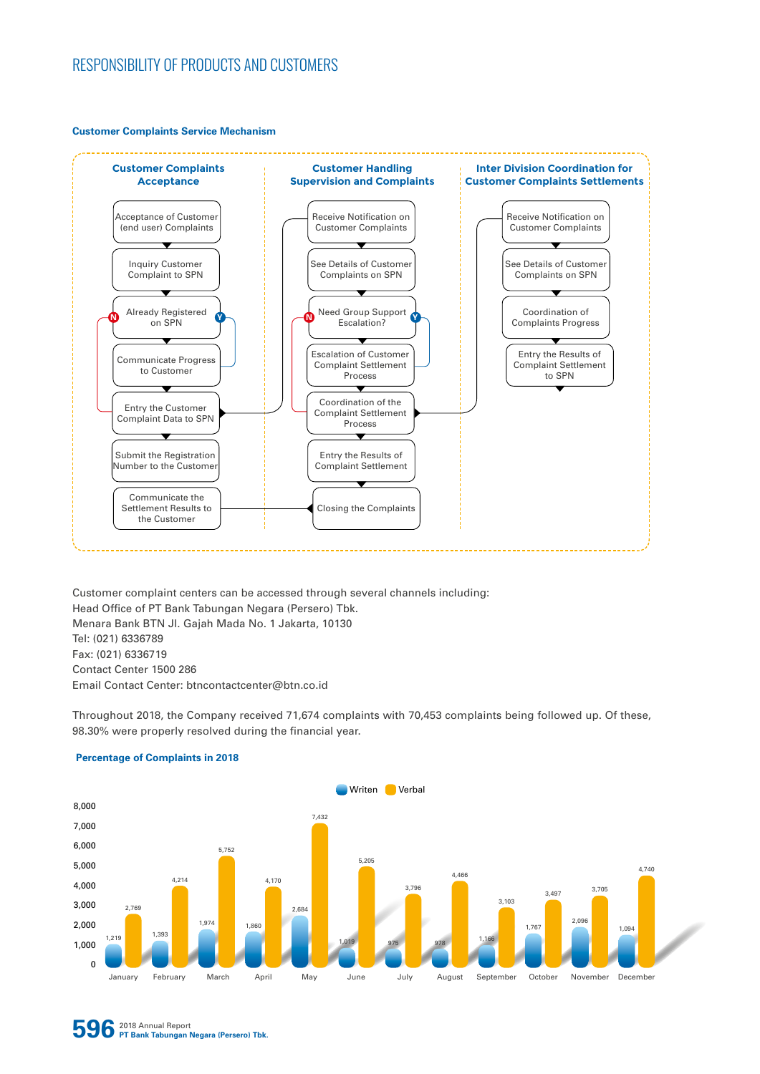



Customer complaint centers can be accessed through several channels including: Head Office of PT Bank Tabungan Negara (Persero) Tbk. Menara Bank BTN Jl. Gajah Mada No. 1 Jakarta, 10130 Tel: (021) 6336789 Fax: (021) 6336719 Contact Center 1500 286 Email Contact Center: btncontactcenter@btn.co.id

Throughout 2018, the Company received 71,674 complaints with 70,453 complaints being followed up. Of these, 98.30% were properly resolved during the financial year.



### **Percentage of Complaints in 2018**